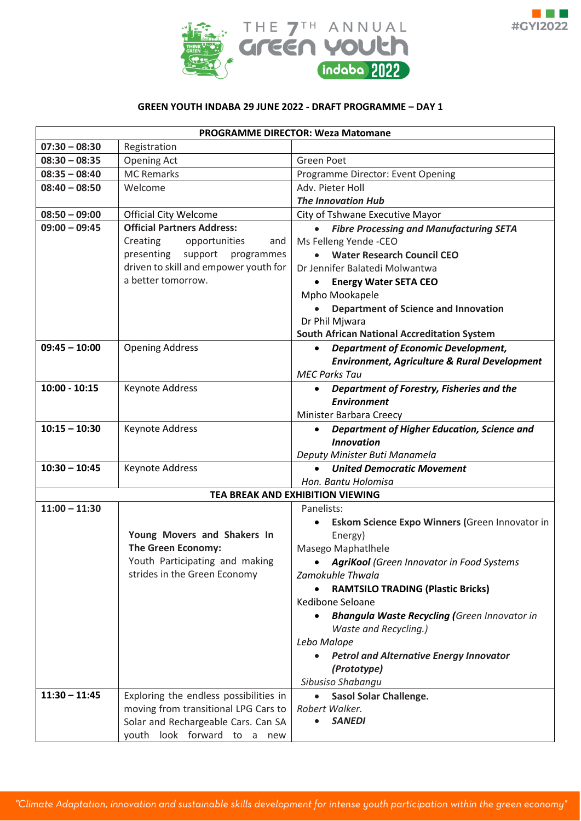



## **GREEN YOUTH INDABA 29 JUNE 2022 - DRAFT PROGRAMME – DAY 1**

| <b>PROGRAMME DIRECTOR: Weza Matomane</b> |                                        |                                                                               |  |  |
|------------------------------------------|----------------------------------------|-------------------------------------------------------------------------------|--|--|
| $07:30 - 08:30$                          | Registration                           |                                                                               |  |  |
| $08:30 - 08:35$                          | <b>Opening Act</b>                     | <b>Green Poet</b>                                                             |  |  |
| $08:35 - 08:40$                          | <b>MC Remarks</b>                      | Programme Director: Event Opening                                             |  |  |
| $08:40 - 08:50$                          | Welcome                                | Adv. Pieter Holl                                                              |  |  |
|                                          |                                        | <b>The Innovation Hub</b>                                                     |  |  |
| $08:50 - 09:00$                          | <b>Official City Welcome</b>           | City of Tshwane Executive Mayor                                               |  |  |
| $09:00 - 09:45$                          | <b>Official Partners Address:</b>      | <b>Fibre Processing and Manufacturing SETA</b><br>$\bullet$                   |  |  |
|                                          | Creating<br>opportunities<br>and       | Ms Felleng Yende -CEO                                                         |  |  |
|                                          | presenting support<br>programmes       | <b>Water Research Council CEO</b>                                             |  |  |
|                                          | driven to skill and empower youth for  | Dr Jennifer Balatedi Molwantwa                                                |  |  |
|                                          | a better tomorrow.                     | <b>Energy Water SETA CEO</b>                                                  |  |  |
|                                          |                                        | Mpho Mookapele                                                                |  |  |
|                                          |                                        | <b>Department of Science and Innovation</b>                                   |  |  |
|                                          |                                        | Dr Phil Mjwara                                                                |  |  |
|                                          |                                        | <b>South African National Accreditation System</b>                            |  |  |
| $09:45 - 10:00$                          | <b>Opening Address</b>                 | <b>Department of Economic Development,</b><br>$\bullet$                       |  |  |
|                                          |                                        | <b>Environment, Agriculture &amp; Rural Development</b>                       |  |  |
|                                          |                                        | <b>MEC Parks Tau</b>                                                          |  |  |
| $10:00 - 10:15$                          | Keynote Address                        | Department of Forestry, Fisheries and the                                     |  |  |
|                                          |                                        | <b>Environment</b>                                                            |  |  |
| $10:15 - 10:30$                          | Keynote Address                        | Minister Barbara Creecy                                                       |  |  |
|                                          |                                        | Department of Higher Education, Science and<br>$\bullet$<br><b>Innovation</b> |  |  |
|                                          |                                        | Deputy Minister Buti Manamela                                                 |  |  |
| $10:30 - 10:45$                          | Keynote Address                        | <b>United Democratic Movement</b><br>$\bullet$                                |  |  |
|                                          |                                        | Hon. Bantu Holomisa                                                           |  |  |
|                                          |                                        | TEA BREAK AND EXHIBITION VIEWING                                              |  |  |
| $11:00 - 11:30$                          |                                        | Panelists:                                                                    |  |  |
|                                          |                                        | Eskom Science Expo Winners (Green Innovator in                                |  |  |
|                                          | Young Movers and Shakers In            | Energy)                                                                       |  |  |
|                                          | <b>The Green Economy:</b>              | Masego Maphatlhele                                                            |  |  |
|                                          | Youth Participating and making         | • AgriKool (Green Innovator in Food Systems                                   |  |  |
|                                          | strides in the Green Economy           | Zamokuhle Thwala                                                              |  |  |
|                                          |                                        | <b>RAMTSILO TRADING (Plastic Bricks)</b>                                      |  |  |
|                                          |                                        | Kedibone Seloane                                                              |  |  |
|                                          |                                        | <b>Bhangula Waste Recycling (</b> Green Innovator in                          |  |  |
|                                          |                                        | <b>Waste and Recycling.)</b>                                                  |  |  |
|                                          |                                        | Lebo Malope                                                                   |  |  |
|                                          |                                        | <b>Petrol and Alternative Energy Innovator</b><br>$\bullet$                   |  |  |
|                                          |                                        | (Prototype)                                                                   |  |  |
|                                          |                                        | Sibusiso Shabangu                                                             |  |  |
| $11:30 - 11:45$                          | Exploring the endless possibilities in | <b>Sasol Solar Challenge.</b>                                                 |  |  |
|                                          | moving from transitional LPG Cars to   | Robert Walker.                                                                |  |  |
|                                          | Solar and Rechargeable Cars. Can SA    | <b>SANEDI</b>                                                                 |  |  |
| youth look forward to a new              |                                        |                                                                               |  |  |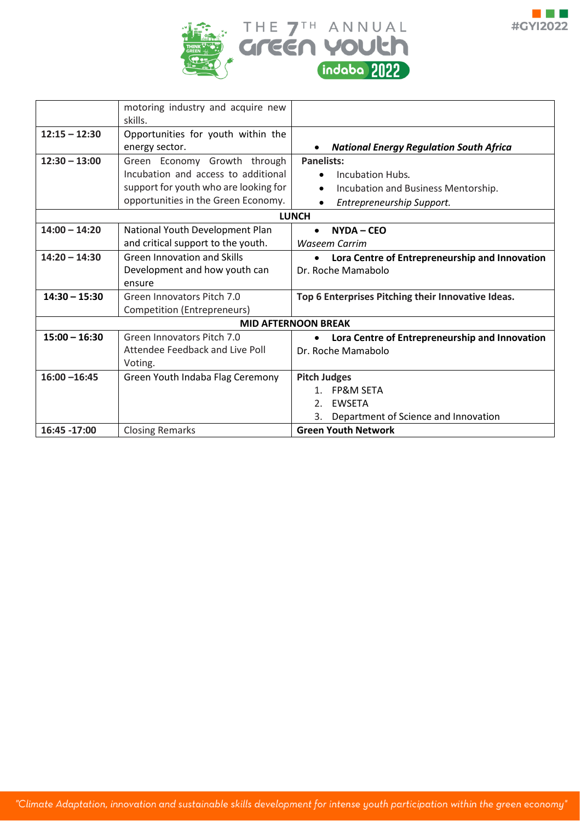



|                 | motoring industry and acquire new     |                                                     |  |  |
|-----------------|---------------------------------------|-----------------------------------------------------|--|--|
|                 | skills.                               |                                                     |  |  |
| $12:15 - 12:30$ | Opportunities for youth within the    |                                                     |  |  |
|                 | energy sector.                        | <b>National Energy Regulation South Africa</b>      |  |  |
| $12:30 - 13:00$ | Green Economy Growth through          | <b>Panelists:</b>                                   |  |  |
|                 | Incubation and access to additional   | Incubation Hubs.                                    |  |  |
|                 | support for youth who are looking for | Incubation and Business Mentorship.                 |  |  |
|                 | opportunities in the Green Economy.   | Entrepreneurship Support.<br>٠                      |  |  |
| <b>LUNCH</b>    |                                       |                                                     |  |  |
| $14:00 - 14:20$ | National Youth Development Plan       | $NYDA - CEO$<br>$\bullet$                           |  |  |
|                 | and critical support to the youth.    | <b>Waseem Carrim</b>                                |  |  |
| $14:20 - 14:30$ | <b>Green Innovation and Skills</b>    | Lora Centre of Entrepreneurship and Innovation<br>٠ |  |  |
|                 | Development and how youth can         | Dr. Roche Mamabolo                                  |  |  |
|                 | ensure                                |                                                     |  |  |
| $14:30 - 15:30$ | Green Innovators Pitch 7.0            | Top 6 Enterprises Pitching their Innovative Ideas.  |  |  |
|                 | Competition (Entrepreneurs)           |                                                     |  |  |
|                 |                                       | <b>MID AFTERNOON BREAK</b>                          |  |  |
| $15:00 - 16:30$ | Green Innovators Pitch 7.0            | Lora Centre of Entrepreneurship and Innovation      |  |  |
|                 | Attendee Feedback and Live Poll       | Dr. Roche Mamabolo                                  |  |  |
|                 | Voting.                               |                                                     |  |  |
| $16:00 - 16:45$ | Green Youth Indaba Flag Ceremony      | <b>Pitch Judges</b>                                 |  |  |
|                 |                                       | <b>FP&amp;M SETA</b><br>$1_{-}$                     |  |  |
|                 |                                       | <b>EWSETA</b><br>2.                                 |  |  |
|                 |                                       | Department of Science and Innovation<br>3.          |  |  |
| 16:45 -17:00    | <b>Closing Remarks</b>                | <b>Green Youth Network</b>                          |  |  |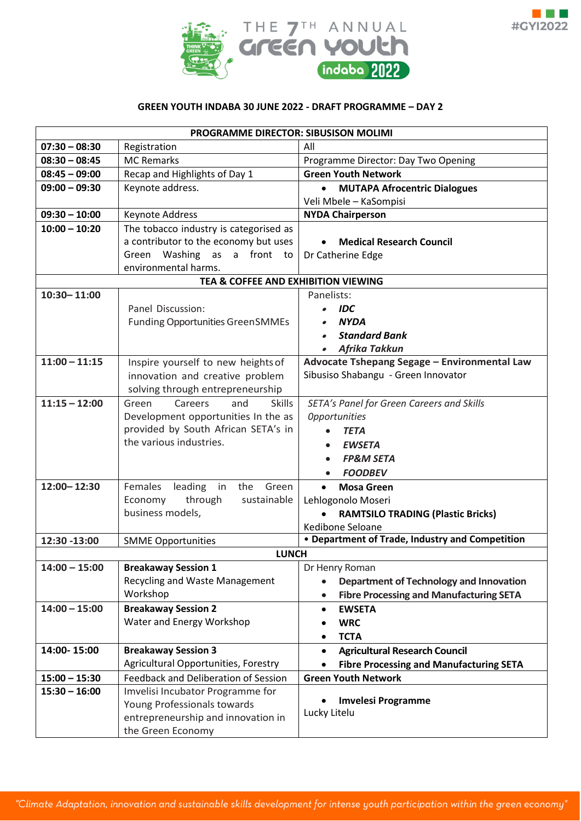



## **GREEN YOUTH INDABA 30 JUNE 2022 - DRAFT PROGRAMME – DAY 2**

| <b>PROGRAMME DIRECTOR: SIBUSISON MOLIMI</b> |                                          |                                                             |  |  |
|---------------------------------------------|------------------------------------------|-------------------------------------------------------------|--|--|
| $07:30 - 08:30$                             | Registration                             | All                                                         |  |  |
| $08:30 - 08:45$                             | <b>MC Remarks</b>                        | Programme Director: Day Two Opening                         |  |  |
| $08:45 - 09:00$                             | Recap and Highlights of Day 1            | <b>Green Youth Network</b>                                  |  |  |
| $09:00 - 09:30$                             | Keynote address.                         | <b>MUTAPA Afrocentric Dialogues</b><br>$\bullet$            |  |  |
|                                             |                                          | Veli Mbele - KaSompisi                                      |  |  |
| $09:30 - 10:00$                             | Keynote Address                          | <b>NYDA Chairperson</b>                                     |  |  |
| $10:00 - 10:20$                             | The tobacco industry is categorised as   |                                                             |  |  |
|                                             | a contributor to the economy but uses    | <b>Medical Research Council</b>                             |  |  |
|                                             | Green Washing as a front to              | Dr Catherine Edge                                           |  |  |
|                                             | environmental harms.                     |                                                             |  |  |
|                                             | TEA & COFFEE AND EXHIBITION VIEWING      |                                                             |  |  |
| $10:30 - 11:00$                             |                                          | Panelists:                                                  |  |  |
|                                             | Panel Discussion:                        | <b>IDC</b>                                                  |  |  |
|                                             | <b>Funding Opportunities GreenSMMEs</b>  | <b>NYDA</b>                                                 |  |  |
|                                             |                                          | <b>Standard Bank</b>                                        |  |  |
|                                             |                                          | Afrika Takkun                                               |  |  |
| $11:00 - 11:15$                             | Inspire yourself to new heights of       | Advocate Tshepang Segage - Environmental Law                |  |  |
|                                             | innovation and creative problem          | Sibusiso Shabangu - Green Innovator                         |  |  |
|                                             | solving through entrepreneurship         |                                                             |  |  |
| $11:15 - 12:00$                             | Green<br>Careers<br>and<br><b>Skills</b> | SETA's Panel for Green Careers and Skills                   |  |  |
|                                             | Development opportunities In the as      | <b>Opportunities</b>                                        |  |  |
|                                             | provided by South African SETA's in      | <b>TETA</b>                                                 |  |  |
|                                             | the various industries.                  | <b>EWSETA</b>                                               |  |  |
|                                             |                                          | <b>FP&amp;M SETA</b>                                        |  |  |
|                                             |                                          | <b>FOODBEV</b>                                              |  |  |
| 12:00-12:30                                 | leading<br>Green<br>Females<br>in<br>the | <b>Mosa Green</b><br>$\bullet$                              |  |  |
|                                             | through<br>sustainable<br>Economy        | Lehlogonolo Moseri                                          |  |  |
|                                             | business models,                         | <b>RAMTSILO TRADING (Plastic Bricks)</b>                    |  |  |
|                                             |                                          | Kedibone Seloane                                            |  |  |
| 12:30 -13:00                                | <b>SMME Opportunities</b>                | • Department of Trade, Industry and Competition             |  |  |
|                                             | <b>LUNCH</b>                             |                                                             |  |  |
| $14:00 - 15:00$                             | <b>Breakaway Session 1</b>               | Dr Henry Roman                                              |  |  |
|                                             | Recycling and Waste Management           | Department of Technology and Innovation                     |  |  |
|                                             | Workshop                                 | <b>Fibre Processing and Manufacturing SETA</b><br>$\bullet$ |  |  |
| $14:00 - 15:00$                             | <b>Breakaway Session 2</b>               | <b>EWSETA</b><br>$\bullet$                                  |  |  |
|                                             | Water and Energy Workshop                | <b>WRC</b>                                                  |  |  |
|                                             |                                          | <b>TCTA</b>                                                 |  |  |
| 14:00-15:00                                 | <b>Breakaway Session 3</b>               | <b>Agricultural Research Council</b><br>$\bullet$           |  |  |
|                                             | Agricultural Opportunities, Forestry     | <b>Fibre Processing and Manufacturing SETA</b>              |  |  |
| $15:00 - 15:30$                             | Feedback and Deliberation of Session     | <b>Green Youth Network</b>                                  |  |  |
| $15:30 - 16:00$                             | Imvelisi Incubator Programme for         |                                                             |  |  |
|                                             | Young Professionals towards              | <b>Imvelesi Programme</b>                                   |  |  |
|                                             | entrepreneurship and innovation in       | Lucky Litelu                                                |  |  |
|                                             | the Green Economy                        |                                                             |  |  |